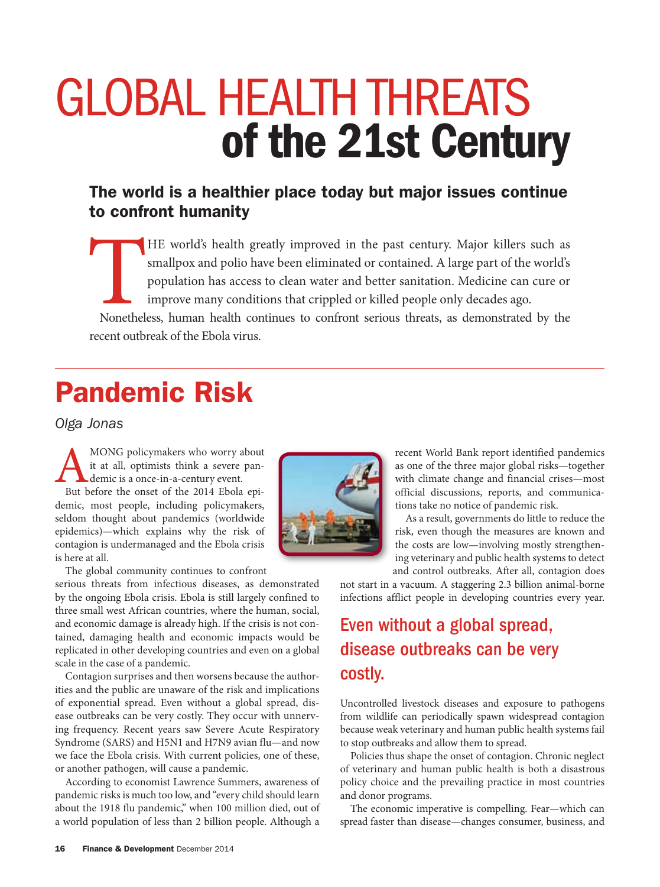# GLOBAL HEALTH THREATS of the 21st Century

### The world is a healthier place today but major issues continue to confront humanity

HE world's health greatly improved in the past century. Major killers such as smallpox and polio have been eliminated or contained. A large part of the world's population has access to clean water and better sanitation. Me smallpox and polio have been eliminated or contained. A large part of the world's population has access to clean water and better sanitation. Medicine can cure or improve many conditions that crippled or killed people only decades ago. Nonetheless, human health continues to confront serious threats, as demonstrated by the recent outbreak of the Ebola virus.

# Pandemic Risk

*Olga Jonas*

MONG policymakers who worry about it at all, optimists think a severe pan-<br>demic is a once-in-a-century event.<br>But before the onset of the 2014 Ebola epiit at all, optimists think a severe pandemic is a once-in-a-century event.

demic, most people, including policymakers, seldom thought about pandemics (worldwide epidemics)—which explains why the risk of contagion is undermanaged and the Ebola crisis is here at all.

The global community continues to confront

serious threats from infectious diseases, as demonstrated by the ongoing Ebola crisis. Ebola is still largely confined to three small west African countries, where the human, social, and economic damage is already high. If the crisis is not contained, damaging health and economic impacts would be replicated in other developing countries and even on a global scale in the case of a pandemic.

Contagion surprises and then worsens because the authorities and the public are unaware of the risk and implications of exponential spread. Even without a global spread, disease outbreaks can be very costly. They occur with unnerving frequency. Recent years saw Severe Acute Respiratory Syndrome (SARS) and H5N1 and H7N9 avian flu—and now we face the Ebola crisis. With current policies, one of these, or another pathogen, will cause a pandemic.

According to economist Lawrence Summers, awareness of pandemic risks is much too low, and "every child should learn about the 1918 flu pandemic," when 100 million died, out of a world population of less than 2 billion people. Although a



recent World Bank report identified pandemics as one of the three major global risks—together with climate change and financial crises—most official discussions, reports, and communications take no notice of pandemic risk.

As a result, governments do little to reduce the risk, even though the measures are known and the costs are low—involving mostly strengthening veterinary and public health systems to detect and control outbreaks. After all, contagion does

not start in a vacuum. A staggering 2.3 billion animal-borne infections afflict people in developing countries every year.

### Even without a global spread, disease outbreaks can be very costly.

Uncontrolled livestock diseases and exposure to pathogens from wildlife can periodically spawn widespread contagion because weak veterinary and human public health systems fail to stop outbreaks and allow them to spread.

Policies thus shape the onset of contagion. Chronic neglect of veterinary and human public health is both a disastrous policy choice and the prevailing practice in most countries and donor programs.

The economic imperative is compelling. Fear—which can spread faster than disease—changes consumer, business, and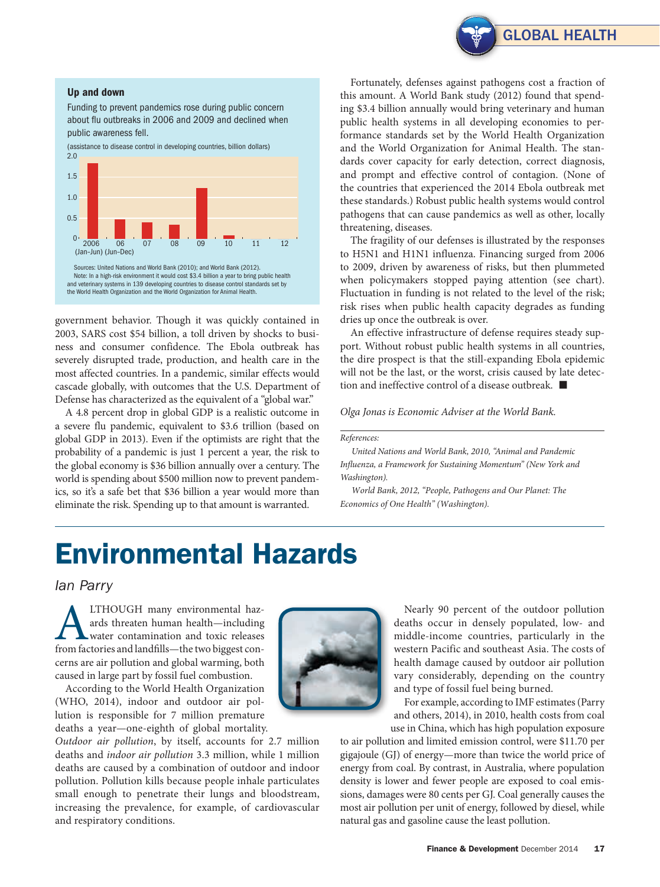

#### Up and down

Funding to prevent pandemics rose during public concern about flu outbreaks in 2006 and 2009 and declined when public awareness fell.



government behavior. Though it was quickly contained in 2003, SARS cost \$54 billion, a toll driven by shocks to business and consumer confidence. The Ebola outbreak has severely disrupted trade, production, and health care in the most affected countries. In a pandemic, similar effects would cascade globally, with outcomes that the U.S. Department of Defense has characterized as the equivalent of a "global war."

A 4.8 percent drop in global GDP is a realistic outcome in a severe flu pandemic, equivalent to \$3.6 trillion (based on global GDP in 2013). Even if the optimists are right that the probability of a pandemic is just 1 percent a year, the risk to the global economy is \$36 billion annually over a century. The world is spending about \$500 million now to prevent pandemics, so it's a safe bet that \$36 billion a year would more than eliminate the risk. Spending up to that amount is warranted.

Fortunately, defenses against pathogens cost a fraction of this amount. A World Bank study (2012) found that spending \$3.4 billion annually would bring veterinary and human public health systems in all developing economies to performance standards set by the World Health Organization and the World Organization for Animal Health. The standards cover capacity for early detection, correct diagnosis, and prompt and effective control of contagion. (None of the countries that experienced the 2014 Ebola outbreak met these standards.) Robust public health systems would control pathogens that can cause pandemics as well as other, locally threatening, diseases.

The fragility of our defenses is illustrated by the responses to H5N1 and H1N1 influenza. Financing surged from 2006 to 2009, driven by awareness of risks, but then plummeted when policymakers stopped paying attention (see chart). Fluctuation in funding is not related to the level of the risk; risk rises when public health capacity degrades as funding dries up once the outbreak is over.

An effective infrastructure of defense requires steady support. Without robust public health systems in all countries, the dire prospect is that the still-expanding Ebola epidemic will not be the last, or the worst, crisis caused by late detection and ineffective control of a disease outbreak. ■

*Olga Jonas is Economic Adviser at the World Bank.*

#### *References:*

*United Nations and World Bank, 2010, "Animal and Pandemic Influenza, a Framework for Sustaining Momentum" (New York and Washington).*

*World Bank, 2012, "People, Pathogens and*  Economics of One Health" (Washington).

## Environmental Hazards

*Ian Parry*

ALTHOUGH many environmental haz-from factories and landfills—the two biggest conards threaten human health—including water contamination and toxic releases cerns are air pollution and global warming, both caused in large part by fossil fuel combustion.

According to the World Health Organization (WHO, 2014), indoor and outdoor air pollution is responsible for 7 million premature deaths a year—one-eighth of global mortality.

*Outdoor air pollution*, by itself, accounts for 2.7 million deaths and *indoor air pollution* 3.3 million, while 1 million deaths are caused by a combination of outdoor and indoor pollution. Pollution kills because people inhale particulates small enough to penetrate their lungs and bloodstream, increasing the prevalence, for example, of cardiovascular and respiratory conditions.



Nearly 90 percent of the outdoor pollution deaths occur in densely populated, low- and middle-income countries, particularly in the western Pacific and southeast Asia. The costs of health damage caused by outdoor air pollution vary considerably, depending on the country and type of fossil fuel being burned.

For example, according to IMF estimates (Parry and others, 2014), in 2010, health costs from coal use in China, which has high population exposure

to air pollution and limited emission control, were \$11.70 per gigajoule (GJ) of energy—more than twice the world price of energy from coal. By contrast, in Australia, where population density is lower and fewer people are exposed to coal emissions, damages were 80 cents per GJ. Coal generally causes the most air pollution per unit of energy, followed by diesel, while natural gas and gasoline cause the least pollution.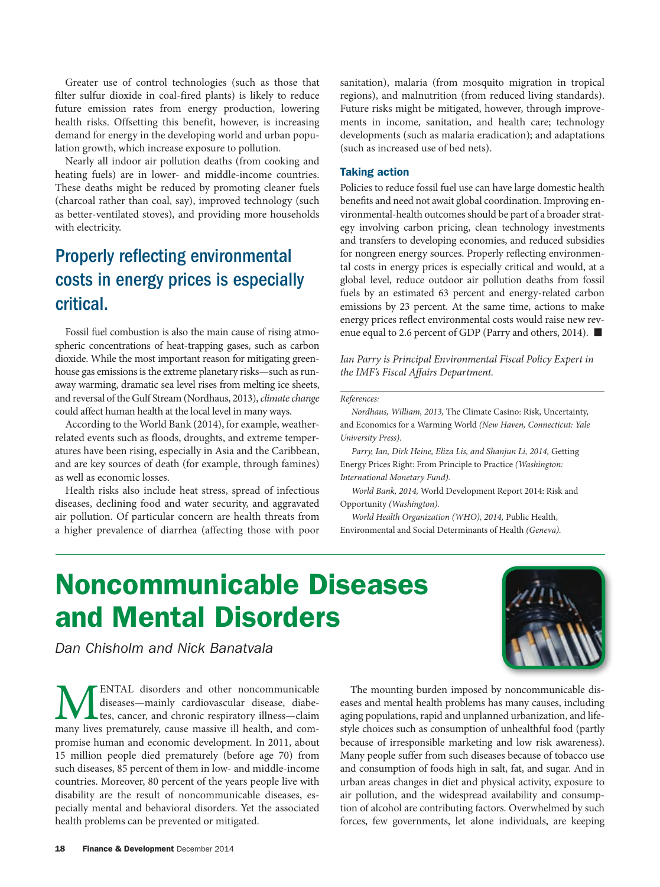Greater use of control technologies (such as those that filter sulfur dioxide in coal-fired plants) is likely to reduce future emission rates from energy production, lowering health risks. Offsetting this benefit, however, is increasing demand for energy in the developing world and urban population growth, which increase exposure to pollution.

Nearly all indoor air pollution deaths (from cooking and heating fuels) are in lower- and middle-income countries. These deaths might be reduced by promoting cleaner fuels (charcoal rather than coal, say), improved technology (such as better-ventilated stoves), and providing more households with electricity.

### Properly reflecting environmental costs in energy prices is especially critical.

Fossil fuel combustion is also the main cause of rising atmospheric concentrations of heat-trapping gases, such as carbon dioxide. While the most important reason for mitigating greenhouse gas emissions is the extreme planetary risks—such as runaway warming, dramatic sea level rises from melting ice sheets, and reversal of the Gulf Stream (Nordhaus, 2013), *climate change* could affect human health at the local level in many ways.

According to the World Bank (2014), for example, weatherrelated events such as floods, droughts, and extreme temperatures have been rising, especially in Asia and the Caribbean, and are key sources of death (for example, through famines) as well as economic losses.

Health risks also include heat stress, spread of infectious diseases, declining food and water security, and aggravated air pollution. Of particular concern are health threats from a higher prevalence of diarrhea (affecting those with poor sanitation), malaria (from mosquito migration in tropical regions), and malnutrition (from reduced living standards). Future risks might be mitigated, however, through improvements in income, sanitation, and health care; technology developments (such as malaria eradication); and adaptations (such as increased use of bed nets).

#### Taking action

Policies to reduce fossil fuel use can have large domestic health benefits and need not await global coordination. Improving environmental-health outcomes should be part of a broader strategy involving carbon pricing, clean technology investments and transfers to developing economies, and reduced subsidies for nongreen energy sources. Properly reflecting environmental costs in energy prices is especially critical and would, at a global level, reduce outdoor air pollution deaths from fossil fuels by an estimated 63 percent and energy-related carbon emissions by 23 percent. At the same time, actions to make energy prices reflect environmental costs would raise new revenue equal to 2.6 percent of GDP (Parry and others, 2014). ■

*Ian Parry is Principal Environmental Fiscal Policy Expert in the IMF's Fiscal Affairs Department.*

#### *References:*

*Nordhaus, William, 2013,* The Climate Casino: Risk, Uncertainty, and Economics for a Warming World *(New Haven, Connecticut: Yale University Press).*

*Parry, Ian, Dirk Heine, Eliza Lis, and Shanjun Li, 2014,* Getting Energy Prices Right: From Principle to Practice *(Washington: International Monetary Fund).*

*World Bank, 2014,* World Development Report 2014: Risk and Opportunity *(Washington).*

*World Health Organization (WHO), 2014,* Public Health, Environmental and Social Determinants of Health *(Geneva).*

# Noncommunicable Diseases and Mental Disorders



*Dan Chisholm and Nick Banatvala*

ENTAL disorders and other noncommunicable diseases—mainly cardiovascular disease, diabetes, cancer, and chronic respiratory illness—claim many lives prematurely, cause massive ill health, and compromise human and economic development. In 2011, about 15 million people died prematurely (before age 70) from such diseases, 85 percent of them in low- and middle-income countries. Moreover, 80 percent of the years people live with disability are the result of noncommunicable diseases, especially mental and behavioral disorders. Yet the associated health problems can be prevented or mitigated.

The mounting burden imposed by noncommunicable diseases and mental health problems has many causes, including aging populations, rapid and unplanned urbanization, and lifestyle choices such as consumption of unhealthful food (partly because of irresponsible marketing and low risk awareness). Many people suffer from such diseases because of tobacco use and consumption of foods high in salt, fat, and sugar. And in urban areas changes in diet and physical activity, exposure to air pollution, and the widespread availability and consumption of alcohol are contributing factors. Overwhelmed by such forces, few governments, let alone individuals, are keeping